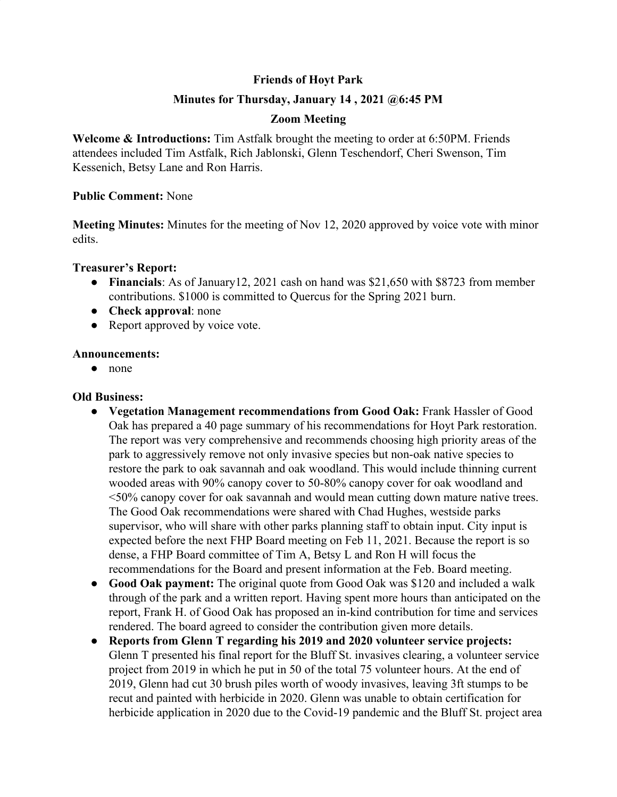# **Friends of Hoyt Park**

# **Minutes for Thursday, January 14 , 2021 @6:45 PM**

## **Zoom Meeting**

**Welcome & Introductions:** Tim Astfalk brought the meeting to order at 6:50PM. Friends attendees included Tim Astfalk, Rich Jablonski, Glenn Teschendorf, Cheri Swenson, Tim Kessenich, Betsy Lane and Ron Harris.

## **Public Comment:** None

**Meeting Minutes:** Minutes for the meeting of Nov 12, 2020 approved by voice vote with minor edits.

#### **Treasurer's Report:**

- **Financials**: As of January12, 2021 cash on hand was \$21,650 with \$8723 from member contributions. \$1000 is committed to Quercus for the Spring 2021 burn.
- **Check approval**: none
- Report approved by voice vote.

#### **Announcements:**

**●** none

## **Old Business:**

- **● Vegetation Management recommendations from Good Oak:** Frank Hassler of Good Oak has prepared a 40 page summary of his recommendations for Hoyt Park restoration. The report was very comprehensive and recommends choosing high priority areas of the park to aggressively remove not only invasive species but non-oak native species to restore the park to oak savannah and oak woodland. This would include thinning current wooded areas with 90% canopy cover to 50-80% canopy cover for oak woodland and <50% canopy cover for oak savannah and would mean cutting down mature native trees. The Good Oak recommendations were shared with Chad Hughes, westside parks supervisor, who will share with other parks planning staff to obtain input. City input is expected before the next FHP Board meeting on Feb 11, 2021. Because the report is so dense, a FHP Board committee of Tim A, Betsy L and Ron H will focus the recommendations for the Board and present information at the Feb. Board meeting.
- **● Good Oak payment:** The original quote from Good Oak was \$120 and included a walk through of the park and a written report. Having spent more hours than anticipated on the report, Frank H. of Good Oak has proposed an in-kind contribution for time and services rendered. The board agreed to consider the contribution given more details.
- **● Reports from Glenn T regarding his 2019 and 2020 volunteer service projects:** Glenn T presented his final report for the Bluff St. invasives clearing, a volunteer service project from 2019 in which he put in 50 of the total 75 volunteer hours. At the end of 2019, Glenn had cut 30 brush piles worth of woody invasives, leaving 3ft stumps to be recut and painted with herbicide in 2020. Glenn was unable to obtain certification for herbicide application in 2020 due to the Covid-19 pandemic and the Bluff St. project area